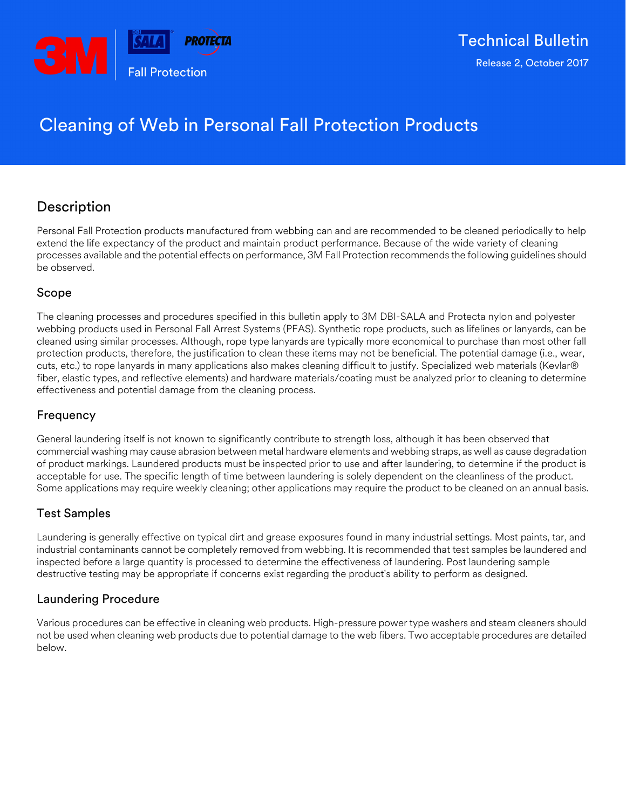

# Cleaning of Web in Personal Fall Protection Products

## Description

Personal Fall Protection products manufactured from webbing can and are recommended to be cleaned periodically to help extend the life expectancy of the product and maintain product performance. Because of the wide variety of cleaning processes available and the potential effects on performance, 3M Fall Protection recommends the following guidelines should be observed.

## Scope

The cleaning processes and procedures specified in this bulletin apply to 3M DBI-SALA and Protecta nylon and polyester webbing products used in Personal Fall Arrest Systems (PFAS). Synthetic rope products, such as lifelines or lanyards, can be cleaned using similar processes. Although, rope type lanyards are typically more economical to purchase than most other fall protection products, therefore, the justification to clean these items may not be beneficial. The potential damage (i.e., wear, cuts, etc.) to rope lanyards in many applications also makes cleaning difficult to justify. Specialized web materials (Kevlar® fiber, elastic types, and reflective elements) and hardware materials/coating must be analyzed prior to cleaning to determine effectiveness and potential damage from the cleaning process.

## Frequency

General laundering itself is not known to significantly contribute to strength loss, although it has been observed that commercial washing may cause abrasion between metal hardware elements and webbing straps, as well as cause degradation of product markings. Laundered products must be inspected prior to use and after laundering, to determine if the product is acceptable for use. The specific length of time between laundering is solely dependent on the cleanliness of the product. Some applications may require weekly cleaning; other applications may require the product to be cleaned on an annual basis.

## Test Samples

Laundering is generally effective on typical dirt and grease exposures found in many industrial settings. Most paints, tar, and industrial contaminants cannot be completely removed from webbing. It is recommended that test samples be laundered and inspected before a large quantity is processed to determine the effectiveness of laundering. Post laundering sample destructive testing may be appropriate if concerns exist regarding the product's ability to perform as designed.

## Laundering Procedure

Various procedures can be effective in cleaning web products. High-pressure power type washers and steam cleaners should not be used when cleaning web products due to potential damage to the web fibers. Two acceptable procedures are detailed below.